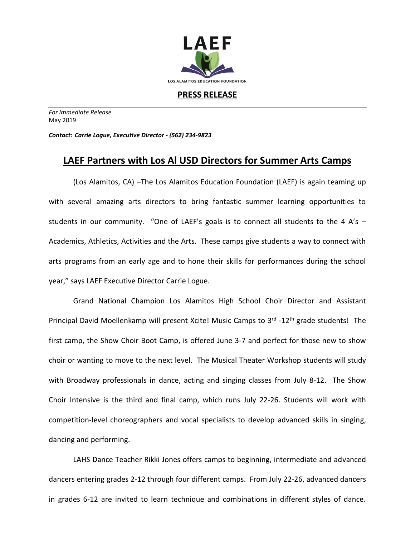

**PRESS RELEASE**

*For Immediate Release*  May 2019

*Contact: Carrie Logue, Executive Director - (562) 234-9823*

## **LAEF Partners with Los Al USD Directors for Summer Arts Camps**

(Los Alamitos, CA) –The Los Alamitos Education Foundation (LAEF) is again teaming up with several amazing arts directors to bring fantastic summer learning opportunities to students in our community. "One of LAEF's goals is to connect all students to the 4 A's – Academics, Athletics, Activities and the Arts. These camps give students a way to connect with arts programs from an early age and to hone their skills for performances during the school year," says LAEF Executive Director Carrie Logue.

Grand National Champion Los Alamitos High School Choir Director and Assistant Principal David Moellenkamp will present Xcite! Music Camps to 3<sup>rd</sup> -12<sup>th</sup> grade students! The first camp, the Show Choir Boot Camp, is offered June 3-7 and perfect for those new to show choir or wanting to move to the next level. The Musical Theater Workshop students will study with Broadway professionals in dance, acting and singing classes from July 8-12. The Show Choir Intensive is the third and final camp, which runs July 22-26. Students will work with competition-level choreographers and vocal specialists to develop advanced skills in singing, dancing and performing.

LAHS Dance Teacher Rikki Jones offers camps to beginning, intermediate and advanced dancers entering grades 2-12 through four different camps. From July 22-26, advanced dancers in grades 6-12 are invited to learn technique and combinations in different styles of dance.